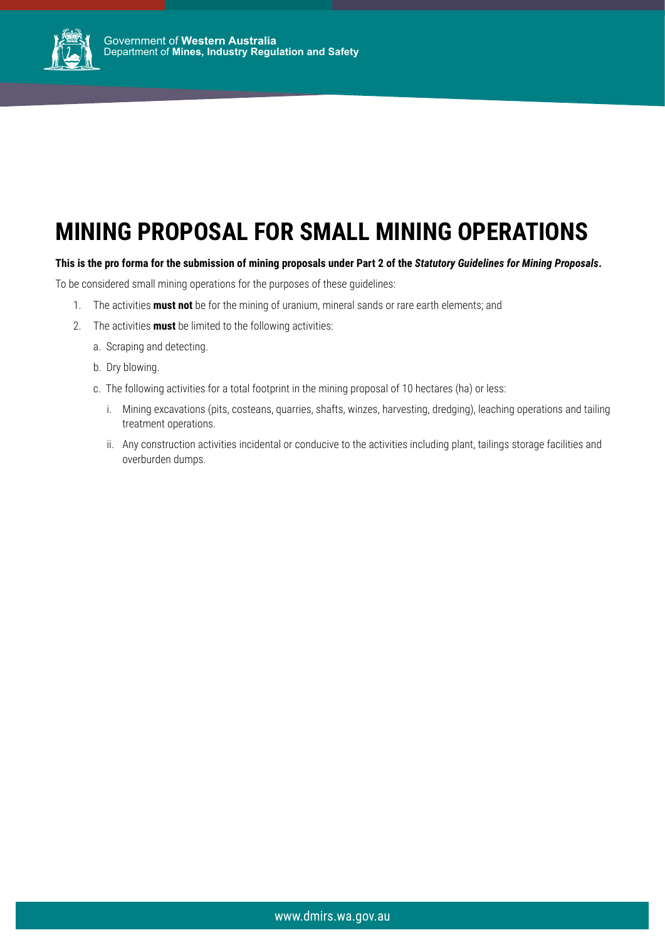

## **MINING PROPOSAL FOR SMALL MINING OPERATIONS**

### **This is the pro forma for the submission of mining proposals under Part 2 of the** *Statutory Guidelines for Mining Proposals***.**

To be considered small mining operations for the purposes of these guidelines:

- 1. The activities **must not** be for the mining of uranium, mineral sands or rare earth elements; and
- 2. The activities **must** be limited to the following activities:
	- a. Scraping and detecting.
	- b. Dry blowing.
	- c. The following activities for a total footprint in the mining proposal of 10 hectares (ha) or less:
		- i. Mining excavations (pits, costeans, quarries, shafts, winzes, harvesting, dredging), leaching operations and tailing treatment operations.
		- ii. Any construction activities incidental or conducive to the activities including plant, tailings storage facilities and overburden dumps.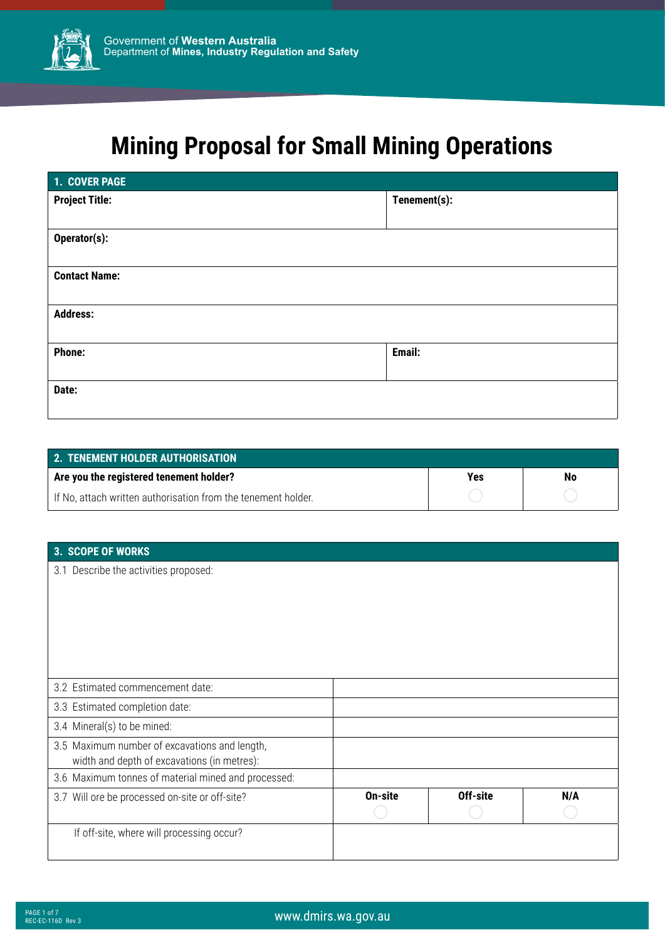

# **Mining Proposal for Small Mining Operations**

| 1. COVER PAGE         |              |
|-----------------------|--------------|
| <b>Project Title:</b> | Tenement(s): |
| Operator(s):          |              |
| <b>Contact Name:</b>  |              |
| <b>Address:</b>       |              |
| <b>Phone:</b>         | Email:       |
| Date:                 |              |

| <b>2. TENEMENT HOLDER AUTHORISATION</b>                       |     |    |
|---------------------------------------------------------------|-----|----|
| Are you the registered tenement holder?                       | Yes | No |
| If No, attach written authorisation from the tenement holder. |     |    |

| 3. SCOPE OF WORKS                                                                            |         |          |     |
|----------------------------------------------------------------------------------------------|---------|----------|-----|
| 3.1 Describe the activities proposed:                                                        |         |          |     |
| 3.2 Estimated commencement date:                                                             |         |          |     |
| 3.3 Estimated completion date:                                                               |         |          |     |
| 3.4 Mineral(s) to be mined:                                                                  |         |          |     |
| 3.5 Maximum number of excavations and length,<br>width and depth of excavations (in metres): |         |          |     |
| 3.6 Maximum tonnes of material mined and processed:                                          |         |          |     |
| 3.7 Will ore be processed on-site or off-site?                                               | On-site | Off-site | N/A |
| If off-site, where will processing occur?                                                    |         |          |     |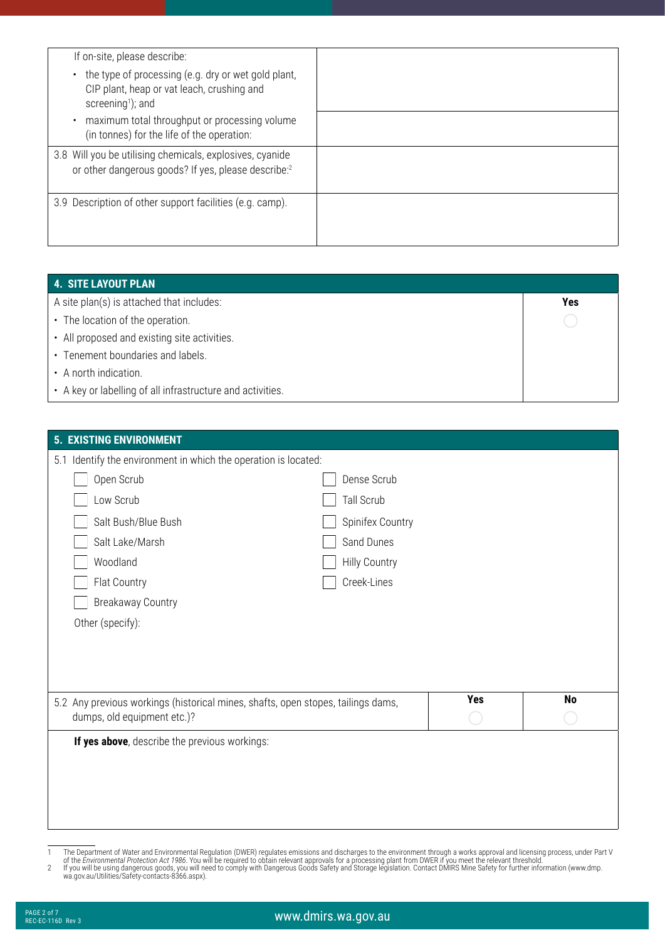| If on-site, please describe:<br>the type of processing (e.g. dry or wet gold plant,<br>$\bullet$<br>CIP plant, heap or vat leach, crushing and<br>screening <sup>1</sup> ); and<br>maximum total throughput or processing volume<br>$\bullet$<br>(in tonnes) for the life of the operation: |  |
|---------------------------------------------------------------------------------------------------------------------------------------------------------------------------------------------------------------------------------------------------------------------------------------------|--|
| 3.8 Will you be utilising chemicals, explosives, cyanide<br>or other dangerous goods? If yes, please describe:2                                                                                                                                                                             |  |
| 3.9 Description of other support facilities (e.g. camp).                                                                                                                                                                                                                                    |  |

| 4. SITE LAYOUT PLAN                                        |     |
|------------------------------------------------------------|-----|
| A site plan(s) is attached that includes:                  | Yes |
| • The location of the operation.                           |     |
| • All proposed and existing site activities.               |     |
| • Tenement boundaries and labels.                          |     |
| • A north indication.                                      |     |
| • A key or labelling of all infrastructure and activities. |     |

| If yes above, describe the previous workings:                                                                   |                                    |            |    |
|-----------------------------------------------------------------------------------------------------------------|------------------------------------|------------|----|
| 5.2 Any previous workings (historical mines, shafts, open stopes, tailings dams,<br>dumps, old equipment etc.)? |                                    | <b>Yes</b> | No |
| Flat Country<br><b>Breakaway Country</b><br>Other (specify):                                                    | Creek-Lines                        |            |    |
| Salt Lake/Marsh<br>Woodland                                                                                     | Sand Dunes<br><b>Hilly Country</b> |            |    |
| Salt Bush/Blue Bush                                                                                             | Spinifex Country                   |            |    |
| Low Scrub                                                                                                       | Tall Scrub                         |            |    |
| 5.1 Identify the environment in which the operation is located:<br>Open Scrub                                   | Dense Scrub                        |            |    |

- 
- The Department of Water and Environmental Regulation (DWER) regulates emissions and discharges to the environment through a works approval and licensing process, under Part V<br>of the *Environmental Protection Act 1986*. You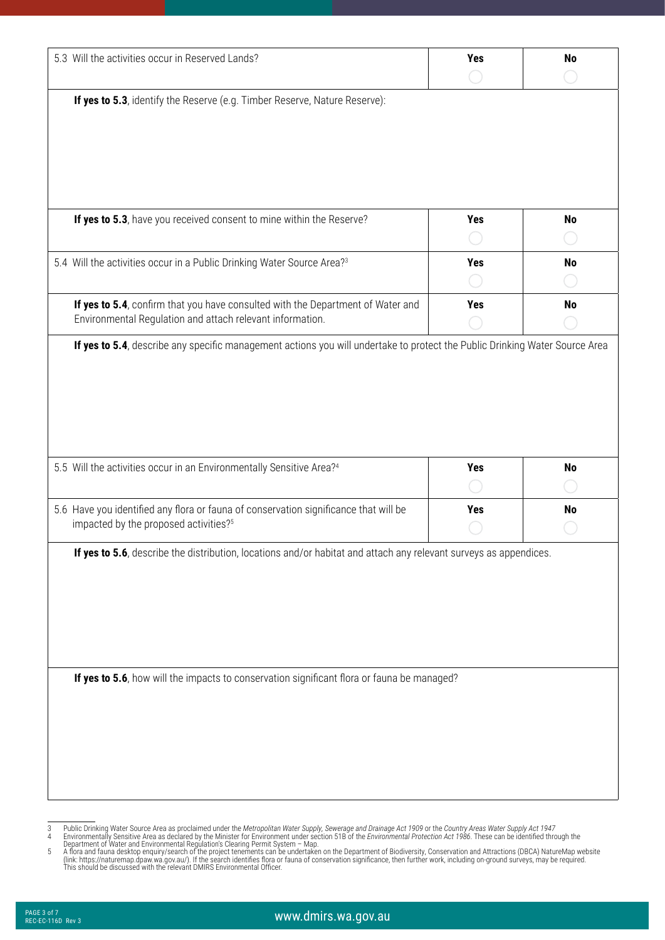| 5.3 Will the activities occur in Reserved Lands?                                                                                             | <b>Yes</b> | <b>No</b> |
|----------------------------------------------------------------------------------------------------------------------------------------------|------------|-----------|
| If yes to 5.3, identify the Reserve (e.g. Timber Reserve, Nature Reserve):                                                                   |            |           |
| If yes to 5.3, have you received consent to mine within the Reserve?                                                                         | <b>Yes</b> | <b>No</b> |
| 5.4 Will the activities occur in a Public Drinking Water Source Area? <sup>3</sup>                                                           | <b>Yes</b> | <b>No</b> |
| If yes to 5.4, confirm that you have consulted with the Department of Water and<br>Environmental Regulation and attach relevant information. | <b>Yes</b> | <b>No</b> |
| 5.5 Will the activities occur in an Environmentally Sensitive Area?4                                                                         | <b>Yes</b> | <b>No</b> |
|                                                                                                                                              |            |           |
|                                                                                                                                              |            |           |
| 5.6 Have you identified any flora or fauna of conservation significance that will be<br>impacted by the proposed activities? <sup>5</sup>    | <b>Yes</b> | <b>No</b> |
| If yes to 5.6, describe the distribution, locations and/or habitat and attach any relevant surveys as appendices.                            |            |           |
| If yes to 5.6, how will the impacts to conservation significant flora or fauna be managed?                                                   |            |           |

Public Drinking Water Source Area as proclaimed under the Metropolitan Water Supply, Sewerage and Drainage Act 1909 or the Country Areas Water Supply Act 1947<br>Environmentally Sensitive Area as declared by the Minister for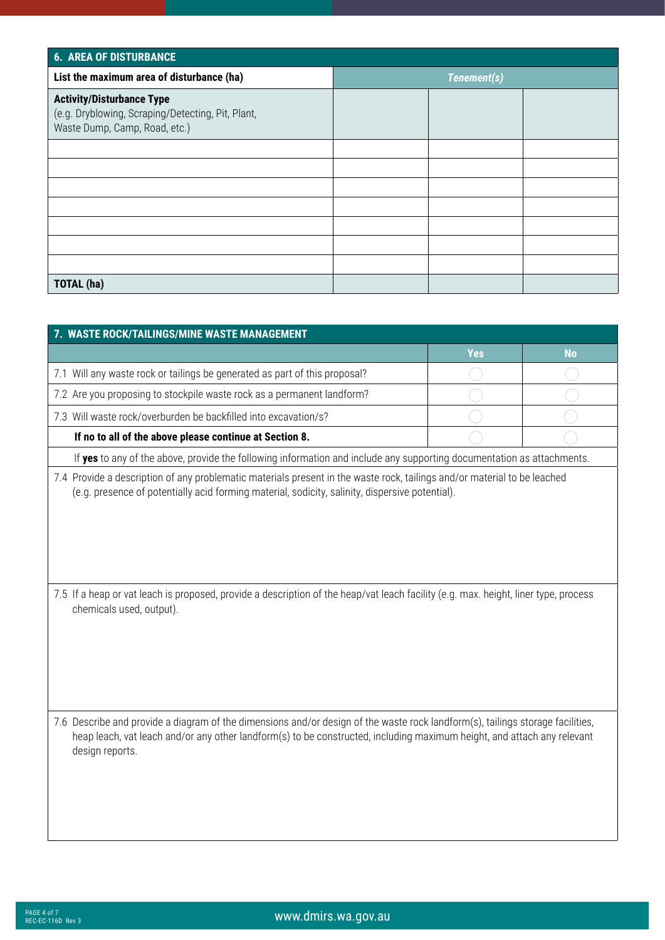| <b>6. AREA OF DISTURBANCE</b>                                                                                          |             |  |  |
|------------------------------------------------------------------------------------------------------------------------|-------------|--|--|
| List the maximum area of disturbance (ha)                                                                              | Tenement(s) |  |  |
| <b>Activity/Disturbance Type</b><br>(e.g. Dryblowing, Scraping/Detecting, Pit, Plant,<br>Waste Dump, Camp, Road, etc.) |             |  |  |
|                                                                                                                        |             |  |  |
|                                                                                                                        |             |  |  |
|                                                                                                                        |             |  |  |
|                                                                                                                        |             |  |  |
|                                                                                                                        |             |  |  |
|                                                                                                                        |             |  |  |
|                                                                                                                        |             |  |  |
| <b>TOTAL (ha)</b>                                                                                                      |             |  |  |

| 7. WASTE ROCK/TAILINGS/MINE WASTE MANAGEMENT                                                                                                                                                                                                                                 |            |           |  |
|------------------------------------------------------------------------------------------------------------------------------------------------------------------------------------------------------------------------------------------------------------------------------|------------|-----------|--|
|                                                                                                                                                                                                                                                                              | <b>Yes</b> | <b>No</b> |  |
| 7.1 Will any waste rock or tailings be generated as part of this proposal?                                                                                                                                                                                                   |            |           |  |
| 7.2 Are you proposing to stockpile waste rock as a permanent landform?                                                                                                                                                                                                       |            |           |  |
| 7.3 Will waste rock/overburden be backfilled into excavation/s?                                                                                                                                                                                                              |            |           |  |
| If no to all of the above please continue at Section 8.                                                                                                                                                                                                                      |            |           |  |
| If yes to any of the above, provide the following information and include any supporting documentation as attachments.                                                                                                                                                       |            |           |  |
| 7.4 Provide a description of any problematic materials present in the waste rock, tailings and/or material to be leached<br>(e.g. presence of potentially acid forming material, sodicity, salinity, dispersive potential).                                                  |            |           |  |
| 7.5 If a heap or vat leach is proposed, provide a description of the heap/vat leach facility (e.g. max. height, liner type, process<br>chemicals used, output).                                                                                                              |            |           |  |
| 7.6 Describe and provide a diagram of the dimensions and/or design of the waste rock landform(s), tailings storage facilities,<br>heap leach, vat leach and/or any other landform(s) to be constructed, including maximum height, and attach any relevant<br>design reports. |            |           |  |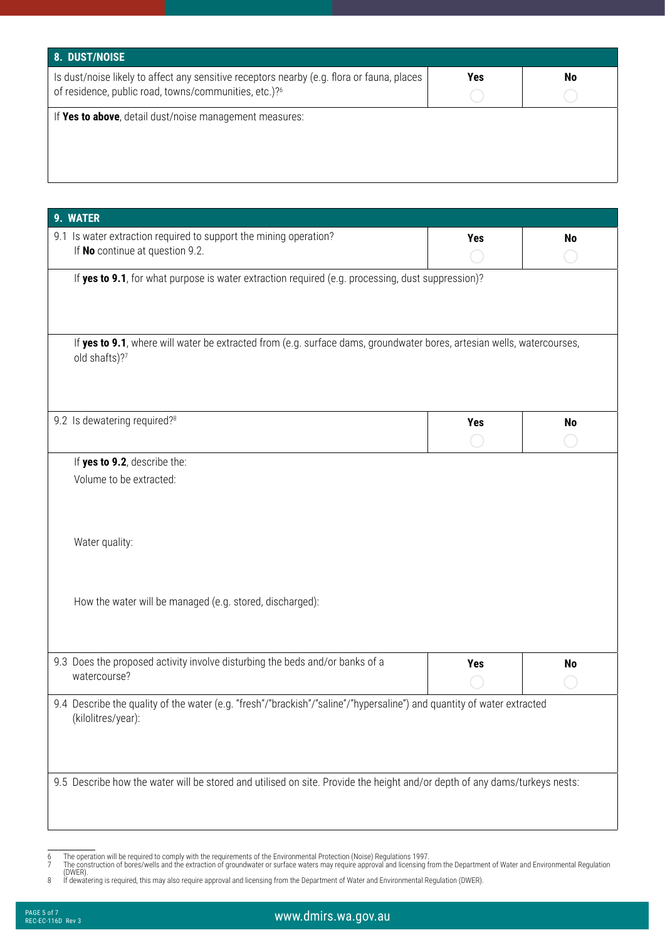| 8. DUST/NOISE                                                                                                                                                   |     |           |
|-----------------------------------------------------------------------------------------------------------------------------------------------------------------|-----|-----------|
| Is dust/noise likely to affect any sensitive receptors nearby (e.g. flora or fauna, places<br>of residence, public road, towns/communities, etc.)? <sup>6</sup> | Yes | <b>No</b> |
| If Yes to above, detail dust/noise management measures:                                                                                                         |     |           |
|                                                                                                                                                                 |     |           |
|                                                                                                                                                                 |     |           |
|                                                                                                                                                                 |     |           |

| 9. WATER                                                                                                                                     |            |           |
|----------------------------------------------------------------------------------------------------------------------------------------------|------------|-----------|
| 9.1 Is water extraction required to support the mining operation?<br>If No continue at question 9.2.                                         | <b>Yes</b> | <b>No</b> |
| If yes to 9.1, for what purpose is water extraction required (e.g. processing, dust suppression)?                                            |            |           |
| If yes to 9.1, where will water be extracted from (e.g. surface dams, groundwater bores, artesian wells, watercourses,<br>old shafts)?7      |            |           |
| 9.2 Is dewatering required? <sup>8</sup>                                                                                                     | <b>Yes</b> | <b>No</b> |
| If yes to 9.2, describe the:                                                                                                                 |            |           |
| Water quality:                                                                                                                               |            |           |
| How the water will be managed (e.g. stored, discharged):                                                                                     |            |           |
| 9.3 Does the proposed activity involve disturbing the beds and/or banks of a<br>watercourse?                                                 | <b>Yes</b> | <b>No</b> |
| 9.4 Describe the quality of the water (e.g. "fresh"/"brackish"/"saline"/"hypersaline") and quantity of water extracted<br>(kilolitres/year): |            |           |
| 9.5 Describe how the water will be stored and utilised on site. Provide the height and/or depth of any dams/turkeys nests:                   |            |           |

<sup>6</sup> The operation will be required to comply with the requirements of the Environmental Protection (Noise) Regulations 1997.<br>7 The construction of bores/wells and the extraction of groundwater or surface waters may require a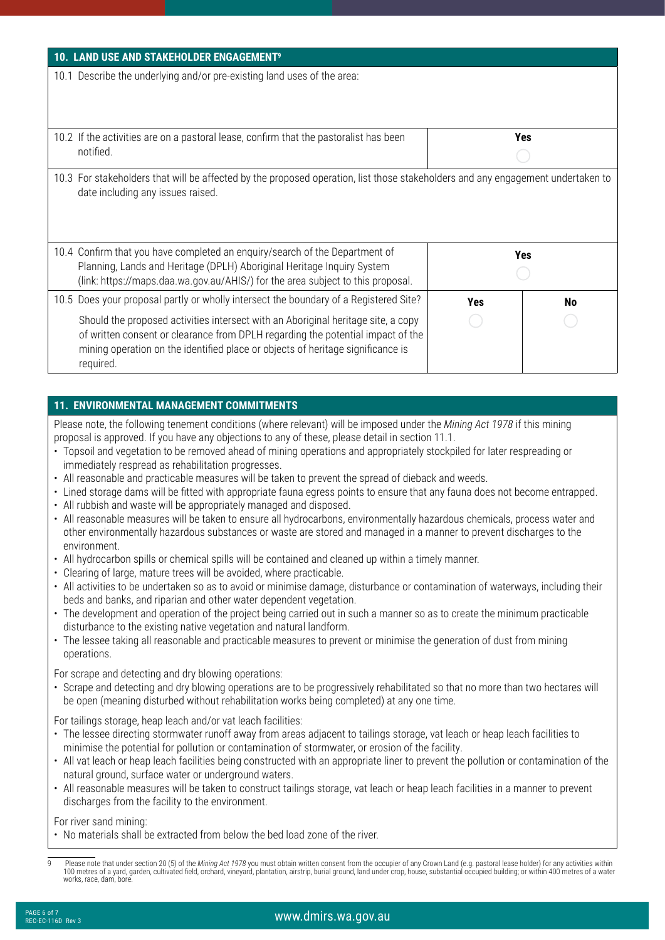| 10. LAND USE AND STAKEHOLDER ENGAGEMENT <sup>9</sup>                                                                                                                                                                                                                 |     |           |
|----------------------------------------------------------------------------------------------------------------------------------------------------------------------------------------------------------------------------------------------------------------------|-----|-----------|
| 10.1 Describe the underlying and/or pre-existing land uses of the area:                                                                                                                                                                                              |     |           |
| 10.2 If the activities are on a pastoral lease, confirm that the pastoralist has been<br>notified.                                                                                                                                                                   |     | Yes       |
| 10.3 For stakeholders that will be affected by the proposed operation, list those stakeholders and any engagement undertaken to<br>date including any issues raised.                                                                                                 |     |           |
| 10.4 Confirm that you have completed an enquiry/search of the Department of<br>Planning, Lands and Heritage (DPLH) Aboriginal Heritage Inquiry System<br>(link: https://maps.daa.wa.gov.au/AHIS/) for the area subject to this proposal.                             |     | Yes       |
| 10.5 Does your proposal partly or wholly intersect the boundary of a Registered Site?                                                                                                                                                                                | Yes | <b>No</b> |
| Should the proposed activities intersect with an Aboriginal heritage site, a copy<br>of written consent or clearance from DPLH regarding the potential impact of the<br>mining operation on the identified place or objects of heritage significance is<br>required. |     |           |

### **11. ENVIRONMENTAL MANAGEMENT COMMITMENTS**

Please note, the following tenement conditions (where relevant) will be imposed under the *Mining Act 1978* if this mining proposal is approved. If you have any objections to any of these, please detail in section 11.1.

- Topsoil and vegetation to be removed ahead of mining operations and appropriately stockpiled for later respreading or immediately respread as rehabilitation progresses.
- All reasonable and practicable measures will be taken to prevent the spread of dieback and weeds.
- Lined storage dams will be fitted with appropriate fauna egress points to ensure that any fauna does not become entrapped.
- All rubbish and waste will be appropriately managed and disposed.
- All reasonable measures will be taken to ensure all hydrocarbons, environmentally hazardous chemicals, process water and other environmentally hazardous substances or waste are stored and managed in a manner to prevent discharges to the environment.
- All hydrocarbon spills or chemical spills will be contained and cleaned up within a timely manner.
- Clearing of large, mature trees will be avoided, where practicable.
- All activities to be undertaken so as to avoid or minimise damage, disturbance or contamination of waterways, including their beds and banks, and riparian and other water dependent vegetation.
- The development and operation of the project being carried out in such a manner so as to create the minimum practicable disturbance to the existing native vegetation and natural landform.
- The lessee taking all reasonable and practicable measures to prevent or minimise the generation of dust from mining operations.

#### For scrape and detecting and dry blowing operations:

• Scrape and detecting and dry blowing operations are to be progressively rehabilitated so that no more than two hectares will be open (meaning disturbed without rehabilitation works being completed) at any one time.

For tailings storage, heap leach and/or vat leach facilities:

- The lessee directing stormwater runoff away from areas adjacent to tailings storage, vat leach or heap leach facilities to minimise the potential for pollution or contamination of stormwater, or erosion of the facility.
- All vat leach or heap leach facilities being constructed with an appropriate liner to prevent the pollution or contamination of the natural ground, surface water or underground waters.
- All reasonable measures will be taken to construct tailings storage, vat leach or heap leach facilities in a manner to prevent discharges from the facility to the environment.

For river sand mining:

• No materials shall be extracted from below the bed load zone of the river.

Please note that under section 20 (5) of the Mining Act 1978 you must obtain written consent from the occupier of any Crown Land (e.g. pastoral lease holder) for any activities within 100 metres of a yard, garden, cultivated field, orchard, vineyard, plantation, airstrip, burial ground, land under crop, house, substantial occupied building; or within 400 metres of a water works, race, dam, bore.